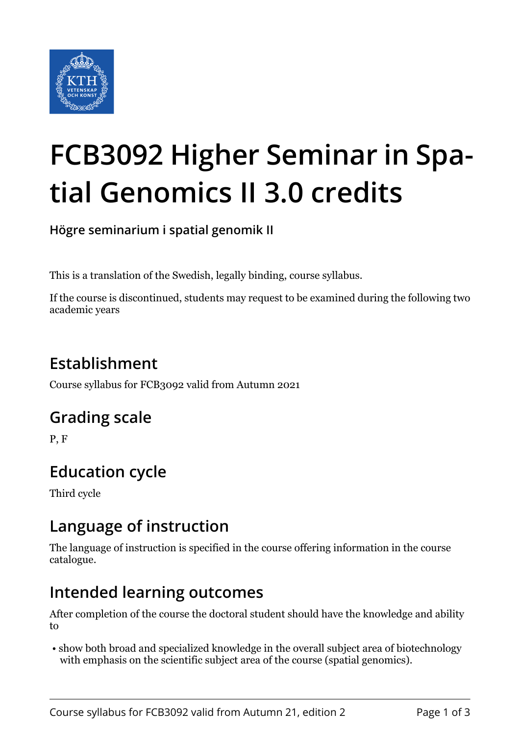

# **FCB3092 Higher Seminar in Spatial Genomics II 3.0 credits**

**Högre seminarium i spatial genomik II**

This is a translation of the Swedish, legally binding, course syllabus.

If the course is discontinued, students may request to be examined during the following two academic years

## **Establishment**

Course syllabus for FCB3092 valid from Autumn 2021

## **Grading scale**

P, F

## **Education cycle**

Third cycle

## **Language of instruction**

The language of instruction is specified in the course offering information in the course catalogue.

## **Intended learning outcomes**

After completion of the course the doctoral student should have the knowledge and ability to

 • show both broad and specialized knowledge in the overall subject area of biotechnology with emphasis on the scientific subject area of the course (spatial genomics).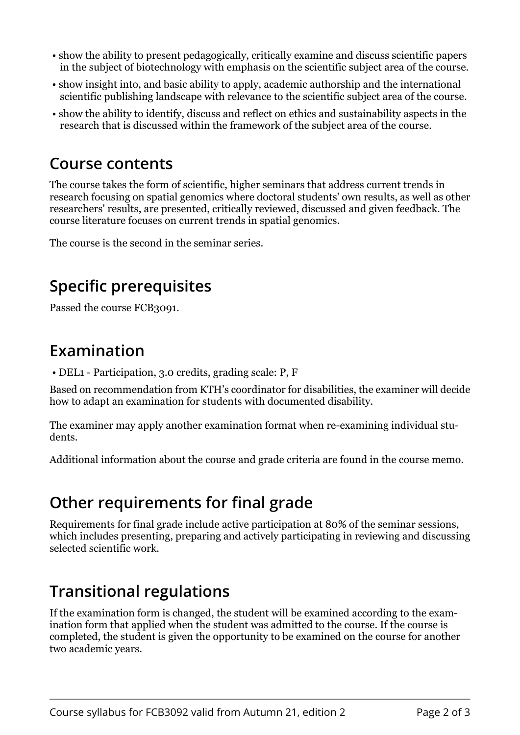- show the ability to present pedagogically, critically examine and discuss scientific papers in the subject of biotechnology with emphasis on the scientific subject area of the course.
- show insight into, and basic ability to apply, academic authorship and the international scientific publishing landscape with relevance to the scientific subject area of the course.
- show the ability to identify, discuss and reflect on ethics and sustainability aspects in the research that is discussed within the framework of the subject area of the course.

#### **Course contents**

The course takes the form of scientific, higher seminars that address current trends in research focusing on spatial genomics where doctoral students' own results, as well as other researchers' results, are presented, critically reviewed, discussed and given feedback. The course literature focuses on current trends in spatial genomics.

The course is the second in the seminar series.

# **Specific prerequisites**

Passed the course FCB3091.

## **Examination**

• DEL1 - Participation, 3.0 credits, grading scale: P, F

Based on recommendation from KTH's coordinator for disabilities, the examiner will decide how to adapt an examination for students with documented disability.

The examiner may apply another examination format when re-examining individual students.

Additional information about the course and grade criteria are found in the course memo.

## **Other requirements for final grade**

Requirements for final grade include active participation at 80% of the seminar sessions, which includes presenting, preparing and actively participating in reviewing and discussing selected scientific work.

## **Transitional regulations**

If the examination form is changed, the student will be examined according to the examination form that applied when the student was admitted to the course. If the course is completed, the student is given the opportunity to be examined on the course for another two academic years.